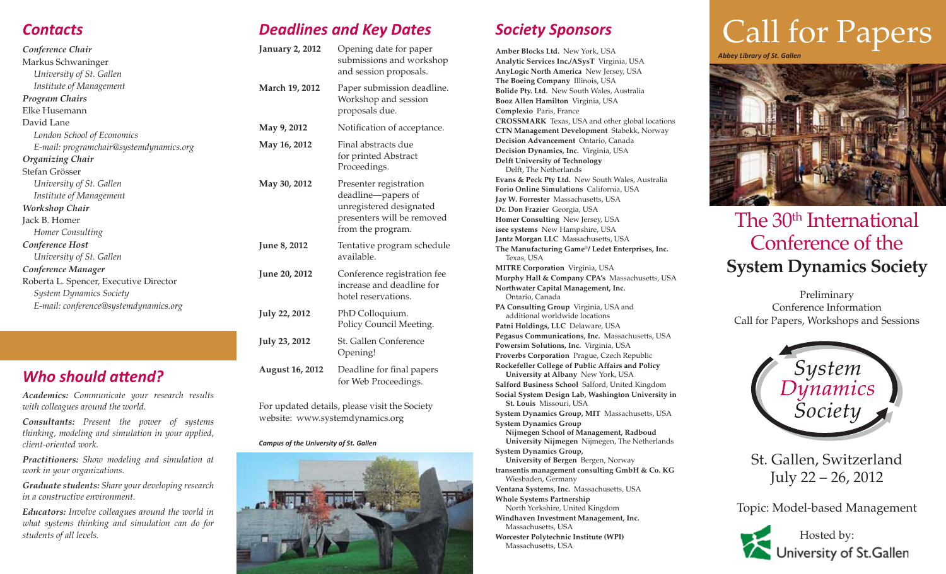| Conference Chair                        | January 2,         |
|-----------------------------------------|--------------------|
| Markus Schwaninger                      |                    |
| University of St. Gallen                |                    |
| Institute of Management                 | <b>March 19, 3</b> |
| <b>Program Chairs</b>                   |                    |
| Elke Husemann                           |                    |
| David Lane                              |                    |
| London School of Economics              | May 9, 201         |
| E-mail: programchair@systemdynamics.org | <b>May 16, 20</b>  |
| <b>Organizing Chair</b>                 |                    |
| Stefan Grösser                          |                    |
| University of St. Gallen                | <b>May 30, 20</b>  |
| Institute of Management                 |                    |
| Workshop Chair                          |                    |
| Jack B. Homer                           |                    |
| Homer Consulting                        |                    |
| Conference Host                         | June 8, 201        |
| University of St. Gallen                |                    |
| Conference Manager                      | <b>June 20, 20</b> |
| Roberta L. Spencer, Executive Director  |                    |
| <b>System Dynamics Society</b>          |                    |
| E-mail: conference@systemdynamics.org   |                    |
|                                         | <b>July 22, 20</b> |
|                                         |                    |

# *Who should attend?*

*Academics: Communicate your research results with colleagues around the world.*

*Consultants: Present the power of systems thinking, modeling and simulation in your applied, client-oriented work.*

*Practitioners: Show modeling and simulation at work in your organizations.*

*Graduate students: Share your developing research in a constructive environment.*

*Educators: Involve colleagues around the world in what systems thinking and simulation can do for students of all levels.*

# *Deadlines and Key Dates*

| <b>January 2, 2012</b> | Opening date for paper<br>submissions and workshop<br>and session proposals.                                               |
|------------------------|----------------------------------------------------------------------------------------------------------------------------|
| <b>March 19, 2012</b>  | Paper submission deadline.<br>Workshop and session<br>proposals due.                                                       |
| May 9, 2012            | Notification of acceptance.                                                                                                |
| May 16, 2012           | Final abstracts due<br>for printed Abstract<br>Proceedings.                                                                |
| May 30, 2012           | Presenter registration<br>deadline-papers of<br>unregistered designated<br>presenters will be removed<br>from the program. |
| June 8, 2012           | Tentative program schedule<br>available.                                                                                   |
| <b>June 20, 2012</b>   | Conference registration fee<br>increase and deadline for<br>hotel reservations.                                            |
| <b>July 22, 2012</b>   | PhD Colloquium.<br>Policy Council Meeting.                                                                                 |
| <b>July 23, 2012</b>   | <b>St. Gallen Conference</b><br>Opening!                                                                                   |
| <b>August 16, 2012</b> | Deadline for final papers<br>for Web Proceedings.                                                                          |

For updated details, please visit the Society website: www.systemdynamics.org

### *Campus of the University of St. Gallen*



# *Society Sponsors*

**Amber Blocks Ltd.** New York, USA **Analytic Services Inc./ASysT** Virginia, USA **AnyLogic North America** New Jersey, USA **The Boeing Company** Illinois, USA **Bolide Pty. Ltd.** New South Wales, Australia **Booz Allen Hamilton** Virginia, USA **Complexio** Paris, France **CROSSMARK** Texas, USA and other global locations **CTN Management Development** Stabekk, Norway **Decision Advancement** Ontario, Canada **Decision Dynamics, Inc.** Virginia, USA **Delft University of Technology**  Delft, The Netherlands **Evans & Peck Pty Ltd.** New South Wales, Australia **Forio Online Simulations** California, USA **Jay W. Forrester** Massachusetts, USA **Dr. Don Frazier** Georgia, USA **Homer Consulting** New Jersey, USA **isee systems** New Hampshire, USA **Jantz Morgan LLC** Massachusetts, USA **The Manufacturing Game**®**/ Ledet Enterprises, Inc.**  Texas, USA **MITRE Corporation** Virginia, USA **Murphy Hall & Company CPA's** Massachusetts, USA **Northwater Capital Management, Inc.**  Ontario, Canada **PA Consulting Group** Virginia, USA and additional worldwide locations **Patni Holdings, LLC** Delaware, USA **Pegasus Communications, Inc.** Massachusetts, USA **Powersim Solutions, Inc.** Virginia, USA **Proverbs Corporation** Prague, Czech Republic **Rockefeller College of Public Affairs and Policy University at Albany** New York, USA **Salford Business School** Salford, United Kingdom **Social System Design Lab, Washington University in St. Louis** Missouri, USA **System Dynamics Group, MIT** Massachusetts, USA **System Dynamics Group Nijmegen School of Management, Radboud University Nijmegen** Nijmegen, The Netherlands **System Dynamics Group, University of Bergen** Bergen, Norway **transentis management consulting GmbH & Co. KG** Wiesbaden, Germany **Ventana Systems, Inc.** Massachusetts, USA **Whole Systems Partnership**  North Yorkshire, United Kingdom **Windhaven Investment Management, Inc.**  Massachusetts, USA

**Worcester Polytechnic Institute (WPI)** Massachusetts, USA

# **Contacts Contacts Call for Papers Call for Papers**

*Abbey Library of St. Gallen*



# The 30<sup>th</sup> International Conference of the **System Dynamics Society**

Preliminary Conference Information Call for Papers, Workshops and Sessions



St. Gallen, Switzerland July 22 – 26, 2012

Topic: Model-based Management